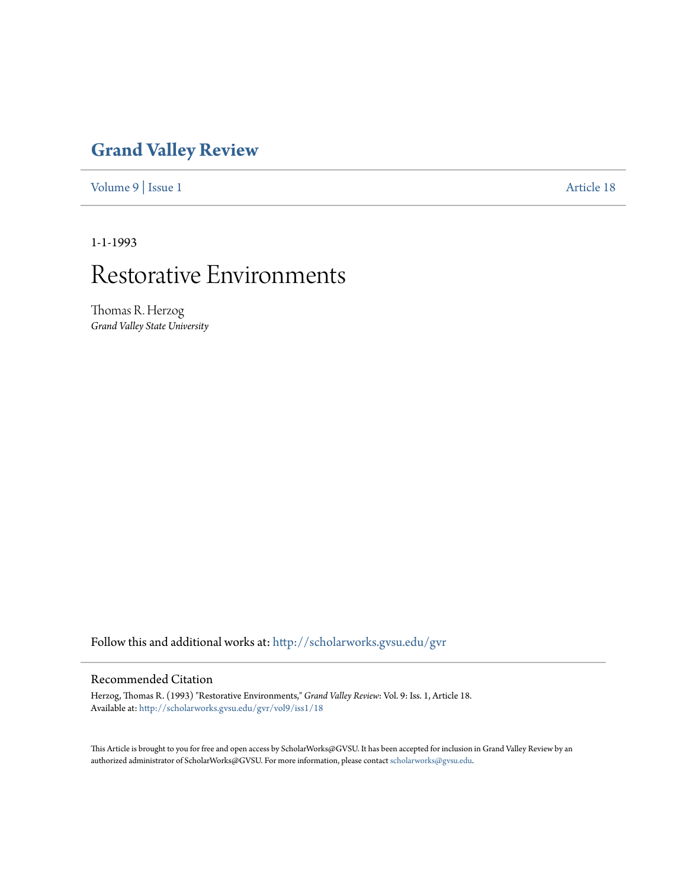## **[Grand Valley Review](http://scholarworks.gvsu.edu/gvr?utm_source=scholarworks.gvsu.edu%2Fgvr%2Fvol9%2Fiss1%2F18&utm_medium=PDF&utm_campaign=PDFCoverPages)**

[Volume 9](http://scholarworks.gvsu.edu/gvr/vol9?utm_source=scholarworks.gvsu.edu%2Fgvr%2Fvol9%2Fiss1%2F18&utm_medium=PDF&utm_campaign=PDFCoverPages) | [Issue 1](http://scholarworks.gvsu.edu/gvr/vol9/iss1?utm_source=scholarworks.gvsu.edu%2Fgvr%2Fvol9%2Fiss1%2F18&utm_medium=PDF&utm_campaign=PDFCoverPages) [Article 18](http://scholarworks.gvsu.edu/gvr/vol9/iss1/18?utm_source=scholarworks.gvsu.edu%2Fgvr%2Fvol9%2Fiss1%2F18&utm_medium=PDF&utm_campaign=PDFCoverPages)

1-1-1993

# Restorative Environments

Thomas R. Herzog *Grand Valley State University*

Follow this and additional works at: [http://scholarworks.gvsu.edu/gvr](http://scholarworks.gvsu.edu/gvr?utm_source=scholarworks.gvsu.edu%2Fgvr%2Fvol9%2Fiss1%2F18&utm_medium=PDF&utm_campaign=PDFCoverPages)

#### Recommended Citation

Herzog, Thomas R. (1993) "Restorative Environments," *Grand Valley Review*: Vol. 9: Iss. 1, Article 18. Available at: [http://scholarworks.gvsu.edu/gvr/vol9/iss1/18](http://scholarworks.gvsu.edu/gvr/vol9/iss1/18?utm_source=scholarworks.gvsu.edu%2Fgvr%2Fvol9%2Fiss1%2F18&utm_medium=PDF&utm_campaign=PDFCoverPages)

This Article is brought to you for free and open access by ScholarWorks@GVSU. It has been accepted for inclusion in Grand Valley Review by an authorized administrator of ScholarWorks@GVSU. For more information, please contact [scholarworks@gvsu.edu.](mailto:scholarworks@gvsu.edu)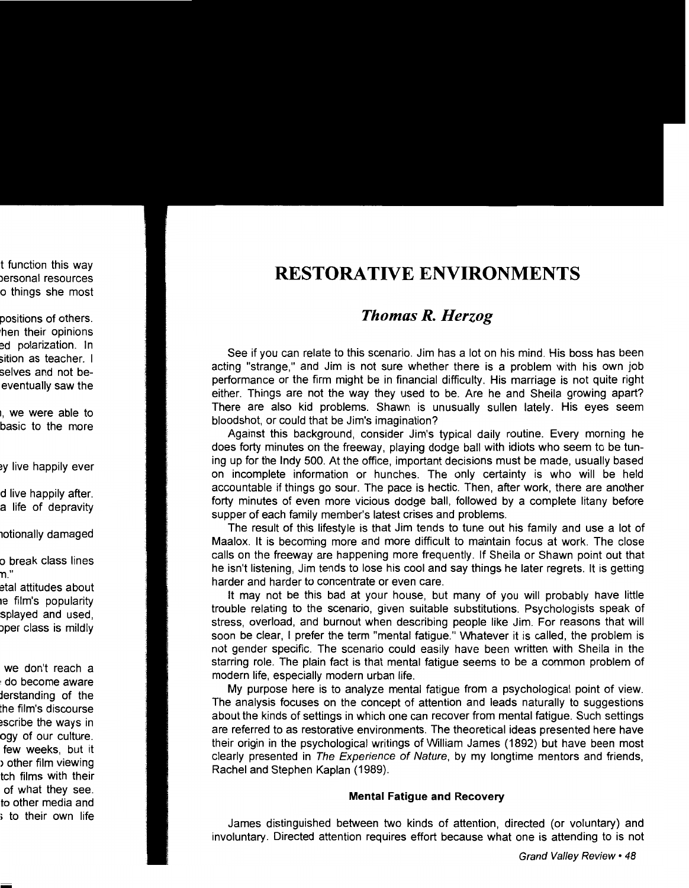## **RESTORATIVE ENVIRONMENTS**

### *Thomas R. Herzog*

See if you can relate to this scenario. Jim has a lot on his mind. His boss has been acting "strange," and Jim is not sure whether there is a problem with his own job performance or the firm might be in financial difficulty. His marriage is not quite right either. Things are not the way they used to be. Are he and Sheila growing apart? There are also kid problems. Shawn is unusually sullen lately. His eyes seem bloodshot, or could that be Jim's imagination?

Against this background, consider Jim's typical daily routine. Every morning he does forty minutes on the freeway, playing dodge ball with idiots who seem to be tuning up for the Indy 500. At the office, important decisions must be made, usually based on incomplete information or hunches. The only certainty is who will be held accountable if things go sour. The pace is hectic. Then, after work, there are another forty minutes of even more vicious dodge ball, followed by a complete litany before supper of each family member's latest crises and problems.

The result of this lifestyle is that Jim tends to tune out his family and use a lot of Maalox. It is becoming more and more difficult to maintain focus at work. The close calls on the freeway are happening more frequently. If Sheila or Shawn point out that he isn't listening, Jim tends to lose his cool and say things he later regrets. It is getting harder and harder to concentrate or even care.

It may not be this bad at your house, but many of you will probably have little trouble relating to the scenario, given suitable substitutions. Psychologists speak of stress, overload, and burnout when describing people like Jim. For reasons that will soon be clear, I prefer the term "mental fatigue." Whatever it is called, the problem is not gender specific. The scenario could easily have been written with Sheila in the starring role. The plain fact is that mental fatigue seems to be a common problem of modern life, especially modern urban life.

My purpose here is to analyze mental fatigue from a psychological point of view. The analysis focuses on the concept of attention and leads naturally to suggestions about the kinds of settings in which one can recover from mental fatigue. Such settings are referred to as restorative environments. The theoretical ideas presented here have their origin in the psychological writings of William James (1892) but have been most clearly presented in The Experience of Nature, by my longtime mentors and friends, Rachel and Stephen Kaplan (1989).

#### **Mental Fatigue and Recovery**

James distinguished between two kinds of attention, directed (or voluntary) and involuntary. Directed attention requires effort because what one is attending to is not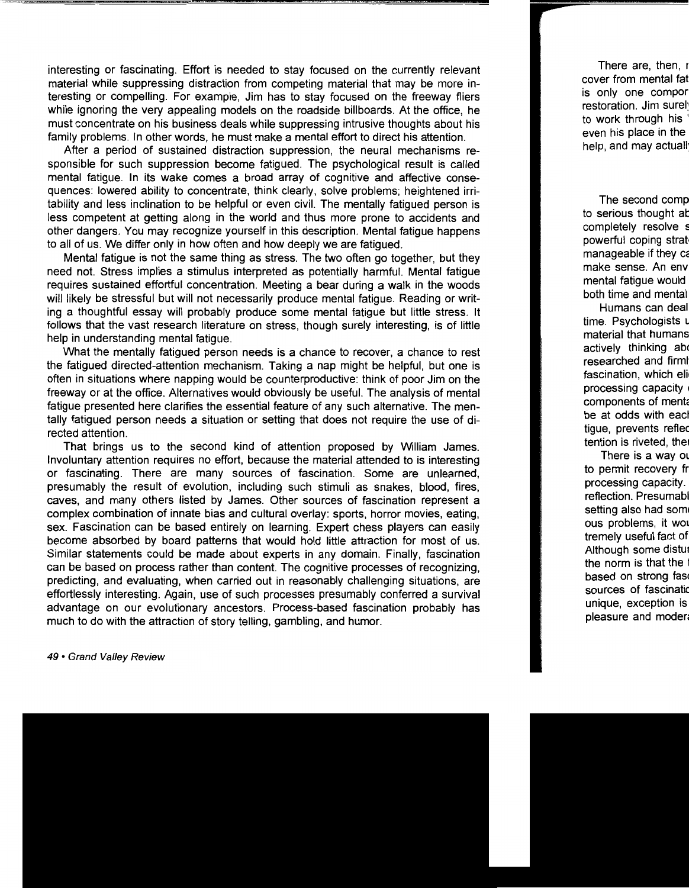interesting or fascinating. Effort is needed to stay focused on the currently relevant material while suppressing distraction from competing material that may be more interesting or compelling. For example, Jim has to stay focused on the freeway fliers while ignoring the very appealing models on the roadside billboards. At the office, he must concentrate on his business deals while suppressing intrusive thoughts about his family problems. In other words, he must make a mental effort to direct his attention.

After a period of sustained distraction suppression, the neural mechanisms responsible for such suppression become fatigued. The psychological result is called mental fatigue. In its wake comes a broad array of cognitive and affective consequences: lowered ability to concentrate, think clearly, solve problems; heightened irritability and less inclination to be helpful or even civil. The mentally fatigued person is less competent at getting along in the world and thus more prone to accidents and other dangers. You may recognize yourself in this description. Mental fatigue happens to all of us. We differ only in how often and how deeply we are fatigued.

Mental fatigue is not the same thing as stress. The two often go together, but they need not. Stress implies a stimulus interpreted as potentially harmful. Mental fatigue requires sustained effortful concentration. Meeting a bear during a walk in the woods will likely be stressful but will not necessarily produce mental fatigue. Reading or writing a thoughtful essay will probably produce some mental fatigue but little stress. It follows that the vast research literature on stress, though surely interesting, is of little help in understanding mental fatigue.

What the mentally fatigued person needs is a chance to recover, a chance to rest the fatigued directed-attention mechanism. Taking a nap might be helpful, but one is often in situations where napping would be counterproductive: think of poor Jim on the freeway or at the office. Alternatives would obviously be useful. The analysis of mental fatigue presented here clarifies the essential feature of any such alternative. The mentally fatigued person needs a situation or setting that does not require the use of directed attention.

That brings us to the second kind of attention proposed by William James. Involuntary attention requires no effort, because the material attended to is interesting or fascinating. There are many sources of fascination. Some are unlearned, presumably the result of evolution, including such stimuli as snakes, blood, fires, caves, and many others listed by James. Other sources of fascination represent a complex combination of innate bias and cultural overlay: sports, horror movies, eating, sex. Fascination can be based entirely on learning. Expert chess players can easily become absorbed by board patterns that would hold little attraction for most of us. Similar statements could be made about experts in any domain. Finally, fascination can be based on process rather than content. The cognitive processes of recognizing, predicting, and evaluating, when carried out in reasonably challenging situations, are effortlessly interesting. Again, use of such processes presumably conferred a survival advantage on our evolutionary ancestors. Process-based fascination probably has much to do with the attraction of story telling, gambling, and humor.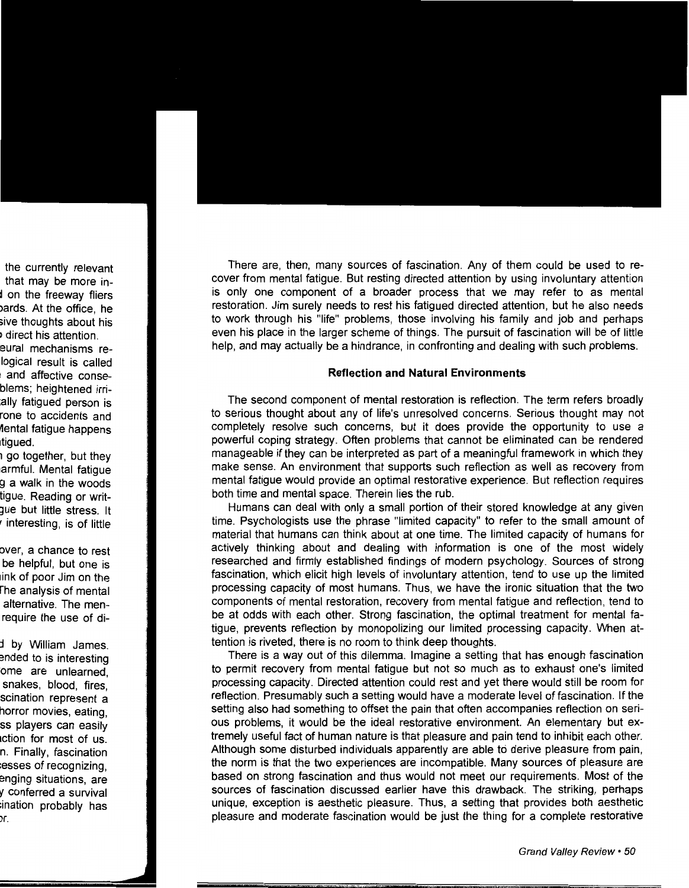There are, then, many sources of fascination. Any of them could be used to recover from mental fatigue. But resting directed attention by using involuntary attention is only one component of a broader process that we may refer to as mental restoration. Jim surely needs to rest his fatigued directed attention, but he also needs to work through his "life" problems, those involving his family and job and perhaps even his place in the larger scheme of things. The pursuit of fascination will be of little help, and may actually be a hindrance, in confronting and dealing with such problems.

#### **Reflection and Natural Environments**

The second component of mental restoration is reflection. The term refers broadly to serious thought about any of life's unresolved concerns. Serious thought may not completely resolve such concerns, but it does provide the opportunity to use a powerful coping strategy. Often problems that cannot be eliminated can be rendered manageable if they can be interpreted as part of a meaningful framework in which they make sense. An environment that supports such reflection as well as recovery from mental fatigue would provide an optimal restorative experience. But reflection requires both time and mental space. Therein lies the rub.

Humans can deal with only a small portion of their stored knowledge at any given time. Psychologists use the phrase "limited capacity" to refer to the small amount of material that humans can think about at one time. The limited capacity of humans for actively thinking about and dealing with information is one of the most widely researched and firmly established findings of modern psychology. Sources of strong fascination, which elicit high levels of involuntary attention, tend to use up the limited processing capacity of most humans. Thus, we have the ironic situation that the two components of mental restoration, recovery from mental fatigue and reflection, tend to be at odds with each other. Strong fascination, the optimal treatment for mental fatigue, prevents reflection by monopolizing our limited processing capacity. When attention is riveted, there is no room to think deep thoughts.

There is a way out of this dilemma. Imagine a setting that has enough fascination to permit recovery from mental fatigue but not so much as to exhaust one's limited processing capacity. Directed attention could rest and yet there would still be room for reflection. Presumably such a setting would have a moderate level of fascination. If the setting also had something to offset the pain that often accompanies reflection on serious problems, it would be the ideal restorative environment. An elementary but extremely useful fact of human nature is that pleasure and pain tend to inhibit each other. Although some disturbed individuals apparently are able to derive pleasure from pain, the norm is that the two experiences are incompatible. Many sources of pleasure are based on strong fascination and thus would not meet our requirements. Most of the sources of fascination discussed earlier have this drawback. The striking, perhaps unique, exception is aesthetic pleasure. Thus, a setting that provides both aesthetic pleasure and moderate fascination would be just the thing for a complete restorative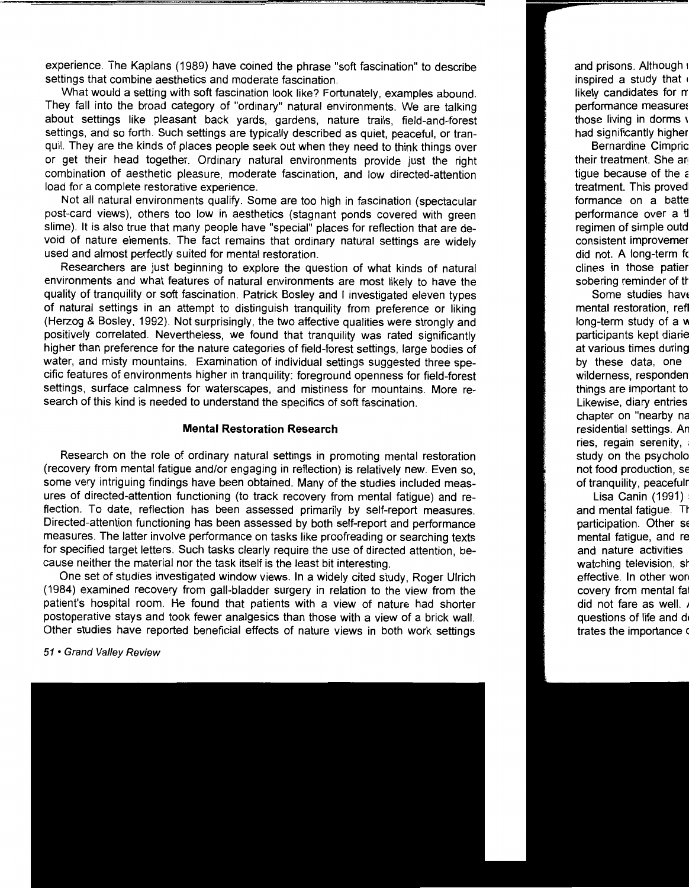experience. The Kaplans (1989) have coined the phrase "soft fascination" to describe settings that combine aesthetics and moderate fascination.

What would a setting with soft fascination look like? Fortunately, examples abound. They fall into the broad category of "ordinary" natural environments. We are talking about settings like pleasant back yards, gardens, nature trails, field-and-forest settings, and so forth. Such settings are typically described as quiet, peaceful, or tranquil. They are the kinds of places people seek out when they need to think things over or get their head together. Ordinary natural environments provide just the right combination of aesthetic pleasure, moderate fascination, and low directed-attention load for a complete restorative experience.

Not all natural environments qualify. Some are too high in fascination (spectacular post-card views), others too low in aesthetics (stagnant ponds covered with green slime). It is also true that many people have "special" places for reflection that are devoid of nature elements. The fact remains that ordinary natural settings are widely used and almost perfectly suited for mental restoration.

Researchers are just beginning to explore the question of what kinds of natural environments and what features of natural environments are most likely to have the quality of tranquility or soft fascination. Patrick Bosley and I investigated eleven types of natural settings in an attempt to distinguish tranquility from preference or liking (Herzog & Bosley, 1992). Not surprisingly, the two affective qualities were strongly and positively correlated. Nevertheless, we found that tranquility was rated significantly higher than preference for the nature categories of field-forest settings, large bodies of water, and misty mountains. Examination of individual settings suggested three specific features of environments higher in tranquility: foreground openness for field-forest settings, surface calmness for waterscapes, and mistiness for mountains. More research of this kind is needed to understand the specifics of soft fascination.

#### **Mental Restoration Research**

Research on the role of ordinary natural settings in promoting mental restoration (recovery from mental fatigue and/or engaging in reflection) is relatively new. Even so, some very intriguing findings have been obtained. Many of the studies included measures of directed-attention functioning (to track recovery from mental fatigue) and reflection. To date, reflection has been assessed primarily by self-report measures. Directed-attention functioning has been assessed by both self-report and performance measures. The latter involve performance on tasks like proofreading or searching texts for specified target letters. Such tasks clearly require the use of directed attention, because neither the material nor the task itself is the least bit interesting.

One set of studies investigated window views. In a widely cited study, Roger Ulrich (1984) examined recovery from gall-bladder surgery in relation to the view from the patient's hospital room. He found that patients with a view of nature had shorter postoperative stays and took fewer analgesics than those with a view of a brick wall. Other studies have reported beneficial effects of nature views in both work settings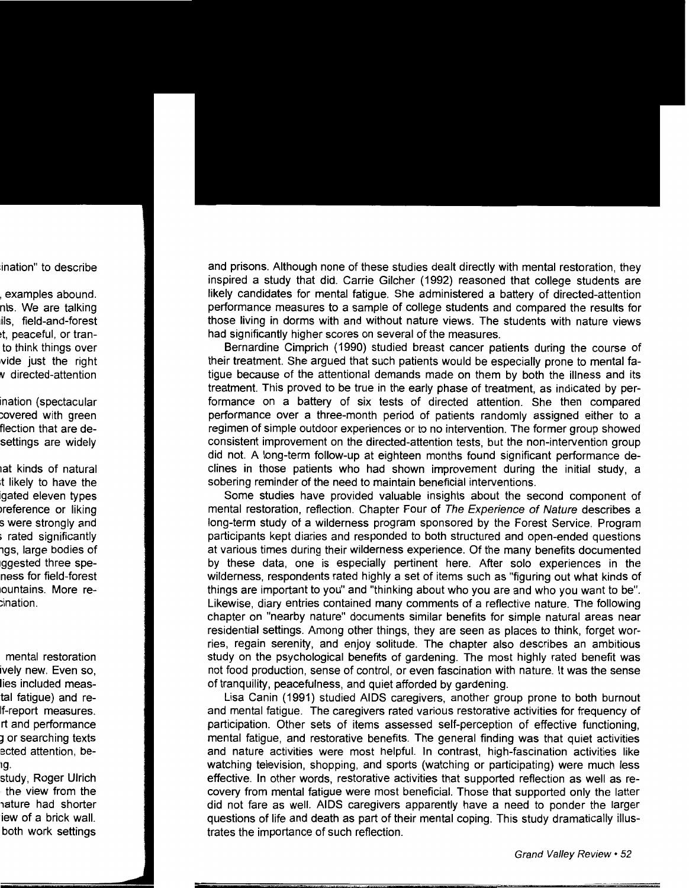and prisons. Although none of these studies dealt directly with mental restoration, they inspired a study that did. Carrie Gilcher (1992) reasoned that college students are likely candidates for mental fatigue. She administered a battery of directed-attention performance measures to a sample of college students and compared the results for those living in dorms with and without nature views. The students with nature views had significantly higher scores on several of the measures.

Bernardine Cimprich (1990) studied breast cancer patients during the course of their treatment. She argued that such patients would be especially prone to mental fatigue because of the attentional demands made on them by both the illness and its treatment. This proved to be true in the early phase of treatment, as indicated by performance on a battery of six tests of directed attention. She then compared performance over a three-month period of patients randomly assigned either to a regimen of simple outdoor experiences or to no intervention. The former group showed consistent improvement on the directed-attention tests, but the non-intervention group did not. A long-term follow-up at eighteen months found significant performance declines in those patients who had shown improvement during the initial study, a sobering reminder of the need to maintain beneficial interventions.

Some studies have provided valuable insights about the second component of mental restoration, reflection. Chapter Four of The Experience of Nature describes a long-term study of a wilderness program sponsored by the Forest Service. Program participants kept diaries and responded to both structured and open-ended questions at various times during their wilderness experience. Of the many benefits documented by these data, one is especially pertinent here. After solo experiences in the wilderness, respondents rated highly a set of items such as "figuring out what kinds of things are important to you" and "thinking about who you are and who you want to be". Likewise, diary entries contained many comments of a reflective nature. The following chapter on "nearby nature" documents similar benefits for simple natural areas near residential settings. Among other things, they are seen as places to think, forget worries, regain serenity, and enjoy solitude. The chapter also describes an ambitious study on the psychological benefits of gardening. The most highly rated benefit was not food production, sense of control, or even fascination with nature. It was the sense of tranquility, peacefulness, and quiet afforded by gardening.

Lisa Canin (1991) studied AIDS caregivers, another group prone to both burnout and mental fatigue. The caregivers rated various restorative activities for frequency of participation. Other sets of items assessed self-perception of effective functioning, mental fatigue, and restorative benefits. The general finding was that quiet activities and nature activities were most helpful. In contrast, high-fascination activities like watching television, shopping, and sports (watching or participating) were much less effective. In other words, restorative activities that supported reflection as well as recovery from mental fatigue were most beneficial. Those that supported only the latter did not fare as well. AIDS caregivers apparently have a need to ponder the larger questions of life and death as part of their mental coping. This study dramatically illustrates the importance of such reflection.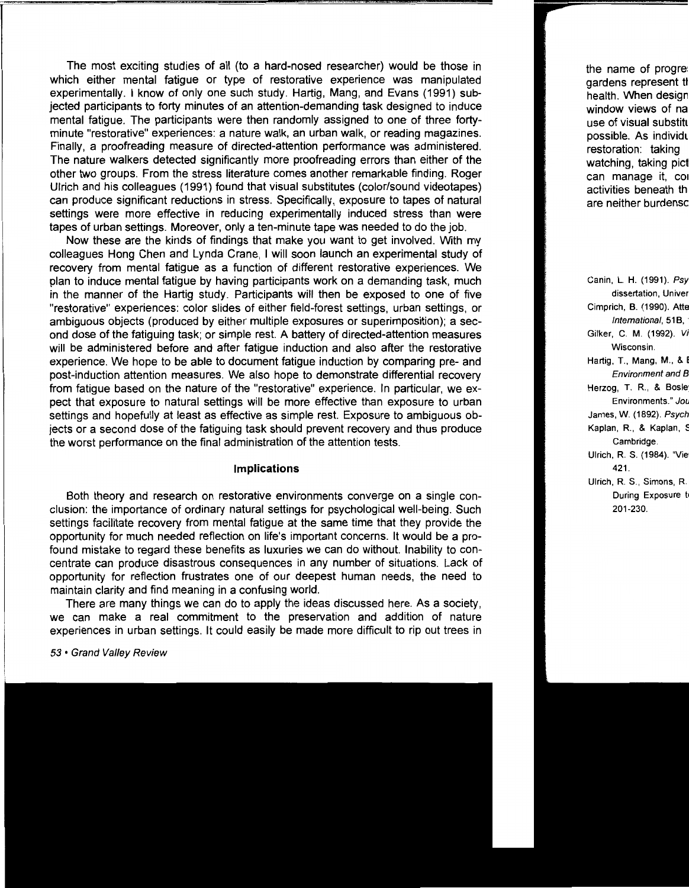The most exciting studies of all (to a hard-nosed researcher) would be those in which either mental fatigue or type of restorative experience was manipulated experimentally. I know of only one such study. Hartig, Mang, and Evans (1991) subjected participants to forty minutes of an attention-demanding task designed to induce mental fatigue. The participants were then randomly assigned to one of three fortyminute "restorative" experiences: a nature walk, an urban walk, or reading magazines. Finally, a proofreading measure of directed-attention performance was administered. The nature walkers detected significantly more proofreading errors than either of the other two groups. From the stress literature comes another remarkable finding. Roger Ulrich and his colleagues (1991) found that visual substitutes (color/sound videotapes) can produce significant reductions in stress. Specifically, exposure to tapes of natural settings were more effective in reducing experimentally induced stress than were tapes of urban settings. Moreover, only a ten-minute tape was needed to do the job.

Now these are the kinds of findings that make you want to get involved. With my colleagues Hong Chen and Lynda Crane, I will soon launch an experimental study of recovery from mental fatigue as a function of different restorative experiences. We plan to induce mental fatigue by having participants work on a demanding task, much in the manner of the Hartig study. Participants will then be exposed to one of five "restorative" experiences: color slides of either field-forest settings, urban settings, or ambiguous objects (produced by either multiple exposures or superimposition); a second dose of the fatiguing task; or simple rest. A battery of directed-attention measures will be administered before and after fatigue induction and also after the restorative experience. We hope to be able to document fatigue induction by comparing pre- and post-induction attention measures. We also hope to demonstrate differential recovery from fatigue based on the nature of the "restorative" experience. In particular, we expect that exposure to natural settings will be more effective than exposure to urban settings and hopefully at least as effective as simple rest. Exposure to ambiguous objects or a second dose of the fatiguing task should prevent recovery and thus produce the worst performance on the final administration of the attention tests.

#### **Implications**

Both theory and research on restorative environments converge on a single conclusion: the importance of ordinary natural settings for psychological well-being. Such settings facilitate recovery from mental fatigue at the same time that they provide the opportunity for much needed reflection on life's important concerns. It would be a profound mistake to regard these benefits as luxuries we can do without. Inability to concentrate can produce disastrous consequences in any number of situations. Lack of opportunity for reflection frustrates one of our deepest human needs, the need to maintain clarity and find meaning in a confusing world.

There are many things we can do to apply the ideas discussed here. As a society, we can make a real commitment to the preservation and addition of nature experiences in urban settings. It could easily be made more difficult to rip out trees in